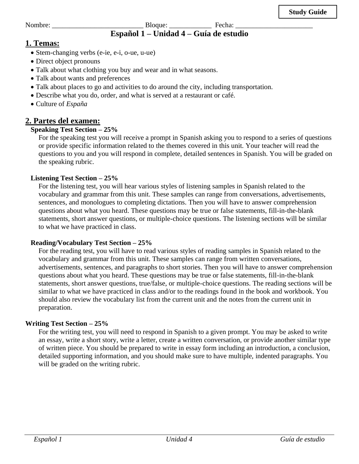Nombre: \_\_\_\_\_\_\_\_\_\_\_\_\_\_\_\_\_\_\_\_\_\_\_\_\_\_ Bloque: \_\_\_\_\_\_\_\_\_\_\_\_ Fecha: \_\_\_\_\_\_\_\_\_\_\_\_\_\_\_\_\_\_\_\_\_\_

# **Español 1 – Unidad 4 – Guía de estudio**

# **1. Temas:**

- Stem-changing verbs (e-ie, e-i, o-ue, u-ue)
- Direct object pronouns
- Talk about what clothing you buy and wear and in what seasons.
- Talk about wants and preferences
- Talk about places to go and activities to do around the city, including transportation.
- Describe what you do, order, and what is served at a restaurant or café.
- Culture of *España*

## **2. Partes del examen:**

#### **Speaking Test Section – 25%**

For the speaking test you will receive a prompt in Spanish asking you to respond to a series of questions or provide specific information related to the themes covered in this unit. Your teacher will read the questions to you and you will respond in complete, detailed sentences in Spanish. You will be graded on the speaking rubric.

#### **Listening Test Section – 25%**

For the listening test, you will hear various styles of listening samples in Spanish related to the vocabulary and grammar from this unit. These samples can range from conversations, advertisements, sentences, and monologues to completing dictations. Then you will have to answer comprehension questions about what you heard. These questions may be true or false statements, fill-in-the-blank statements, short answer questions, or multiple-choice questions. The listening sections will be similar to what we have practiced in class.

#### **Reading/Vocabulary Test Section – 25%**

For the reading test, you will have to read various styles of reading samples in Spanish related to the vocabulary and grammar from this unit. These samples can range from written conversations, advertisements, sentences, and paragraphs to short stories. Then you will have to answer comprehension questions about what you heard. These questions may be true or false statements, fill-in-the-blank statements, short answer questions, true/false, or multiple-choice questions. The reading sections will be similar to what we have practiced in class and/or to the readings found in the book and workbook. You should also review the vocabulary list from the current unit and the notes from the current unit in preparation.

#### **Writing Test Section – 25%**

For the writing test, you will need to respond in Spanish to a given prompt. You may be asked to write an essay, write a short story, write a letter, create a written conversation, or provide another similar type of written piece. You should be prepared to write in essay form including an introduction, a conclusion, detailed supporting information, and you should make sure to have multiple, indented paragraphs. You will be graded on the writing rubric.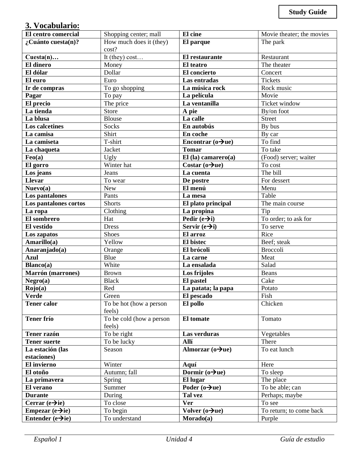# **3. Vocabulario:**

| El centro comercial             | Shopping center; mall             | El cine                        | Movie theater; the movies |
|---------------------------------|-----------------------------------|--------------------------------|---------------------------|
| $\lambda$ Cuánto cuesta(n)?     | How much does it (they)           | El parque                      | The park                  |
|                                 | cost?                             |                                |                           |
| $Cuesta(n) \dots$               | It (they) $cost$                  | El restaurante                 | Restaurant                |
| <b>El dinero</b>                | Money                             | El teatro                      | The theater               |
| El dólar                        | Dollar                            | El concierto                   | Concert                   |
| El euro                         | Euro                              | Las entradas                   | Tickets                   |
| Ir de compras                   | To go shopping                    | La música rock                 | Rock music                |
| Pagar                           | To pay                            | La película                    | Movie                     |
| El precio                       | The price                         | La ventanilla                  | <b>Ticket window</b>      |
| La tienda                       | Store                             | A pie                          | By/on foot                |
| La blusa                        | <b>Blouse</b>                     | La calle                       | <b>Street</b>             |
| Los calcetines                  | Socks                             | En autobús                     | By bus                    |
| La camisa                       | Shirt                             | En coche                       | By car                    |
| La camiseta                     | T-shirt                           | Encontrar ( $o\rightarrow$ ue) | To find                   |
| La chaqueta                     | Jacket                            | <b>Tomar</b>                   | To take                   |
| Feo(a)                          | Ugly                              | $El$ (la) camarero(a)          | (Food) server; waiter     |
| El gorro                        | Winter hat                        | Costar $(o\rightarrow u$ e)    | To cost                   |
| Los jeans                       | Jeans                             | La cuenta                      | The bill                  |
| <b>Llevar</b>                   | To wear                           | De postre                      | For dessert               |
| Nueva(a)                        | <b>New</b>                        | El menú                        | Menu                      |
| Los pantalones                  | Pants                             | La mesa                        | Table                     |
| Los pantalones cortos           | <b>Shorts</b>                     | El plato principal             | The main course           |
| La ropa                         | Clothing                          | La propina                     | Tip                       |
| El sombrero                     | Hat                               | Pedir $(e \rightarrow i)$      | To order; to ask for      |
| El vestido                      | <b>Dress</b>                      | Servir $(e\rightarrow i)$      | To serve                  |
| Los zapatos                     | <b>Shoes</b>                      | El arroz                       | Rice                      |
| Amarillo(a)                     | Yellow                            | El bistec                      | Beef; steak               |
| Anaranjado(a)                   | Orange                            | El brócoli                     | <b>Broccoli</b>           |
| <b>Azul</b>                     | Blue                              | La carne                       | Meat                      |
| Blanco(a)                       | White                             | La ensalada                    | Salad                     |
| Marrón (marrones)               | <b>Brown</b>                      | Los frijoles                   | Beans                     |
| Negro(a)                        | <b>Black</b>                      | El pastel                      | Cake                      |
| Rojo(a)                         | Red                               | La patata; la papa             | Potato                    |
| Verde                           | Green                             | El pescado                     | Fish                      |
| <b>Tener calor</b>              | To be hot (how a person<br>feels) | El pollo                       | Chicken                   |
| <b>Tener frío</b>               | To be cold (how a person          | El tomate                      | Tomato                    |
|                                 | feels)                            |                                |                           |
| Tener razón                     | To be right                       | Las verduras                   | Vegetables                |
| <b>Tener suerte</b>             | To be lucky                       | Allí                           | There                     |
| La estación (las<br>estaciones) | Season                            | Almorzar ( $o\rightarrow$ ue)  | To eat lunch              |
| El invierno                     | Winter                            | Aquí                           | Here                      |
| El otoño                        | Autumn; fall                      | Dormir $(o\rightarrow)$ ue)    | To sleep                  |
| La primavera                    | Spring                            | El lugar                       | The place                 |
| El verano                       | Summer                            | Poder $(o\rightarrow u$ e)     | To be able; can           |
| <b>Durante</b>                  | During                            | Tal vez                        | Perhaps; maybe            |
| Cerrar $(e \rightarrow ie)$     | To close                          | <b>Ver</b>                     | To see                    |
| Empezar $(e \rightarrow ie)$    | To begin                          | Volver $(o\rightarrow u$ e)    | To return; to come back   |
| Entender $(e \rightarrow ie)$   | To understand                     | Morado(a)                      | Purple                    |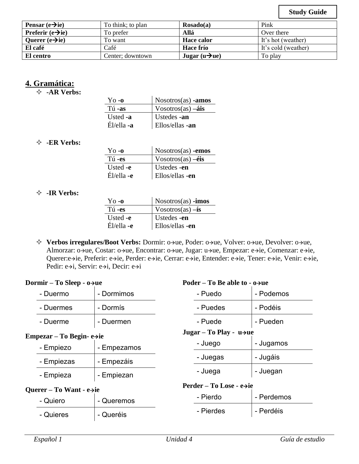**Study Guide**

| Pensar $(e \rightarrow ie)$          | To think; to plan | $\text{Rosado}(a)$           | Pink                |
|--------------------------------------|-------------------|------------------------------|---------------------|
| <b>Preferir</b> $(e \rightarrow ie)$ | To prefer         | Allá                         | Over there          |
| Querer $(e \rightarrow ie)$          | To want           | <b>Hace calor</b>            | It's hot (weather)  |
| El café                              | Café              | <b>Hace frío</b>             | It's cold (weather) |
| El centro                            | Center: downtown  | Jugar ( $u \rightarrow u$ e) | To play             |

### **4. Gramática:**

**-AR Verbs:**

| Yo -o      | $\sim$ Nosotros(as) -amos                         |
|------------|---------------------------------------------------|
| Tú -as     | $\sqrt{\frac{1}{100}}$ Vosotros(as) $-\hat{a}$ is |
| Usted -a   | Ustedes -an                                       |
| Él/ella -a | Ellos/ellas -an                                   |

#### **-ER Verbs:**

| $Y_{0}$ -0   | $N$ osotros $(as)$ -emos        |
|--------------|---------------------------------|
| Tú-es        | $V$ osotros(as) $-\acute{e}$ is |
| Usted -e     | Ustedes -en                     |
| $E1/e1a - e$ | Ellos/ellas -en                 |

#### **-IR Verbs:**

| $\gamma_{0}$ -0 | $\log_{10}(as)$ -imos |
|-----------------|-----------------------|
| Tú -es          | Vosotros(as) $-i$ s   |
| Usted -e        | Ustedes -en           |
| $E1/e1a - e$    | Ellos/ellas -en       |

 **Verbos irregulares/Boot Verbs:** Dormir: o→ue, Poder: o→ue, Volver: o→ue, Devolver: o→ue, Almorzar: o→ue, Costar: o→ue, Encontrar: o→ue, Jugar: u→ue, Empezar: e→ie, Comenzar: e→ie, Querer:e→ie, Preferir: e→ie, Perder: e→ie, Cerrar: e→ie, Entender: e→ie, Tener: e→ie, Venir: e→ie, Pedir: e→i, Servir: e→i, Decir: e→i

| Dormir – To Sleep - $o \rightarrow ue$ |                                        | Poder – To Be able to $\text{-}$ o $\rightarrow$ ue |                                       |            |
|----------------------------------------|----------------------------------------|-----------------------------------------------------|---------------------------------------|------------|
|                                        | - Duermo                               | - Dormimos                                          | - Puedo                               | - Podemos  |
|                                        | - Duermes                              | - Dormís                                            | - Puedes                              | - Podéis   |
|                                        | - Duerme                               | - Duermen                                           | - Puede                               | - Pueden   |
|                                        | Empezar – To Begin- $e \rightarrow ie$ |                                                     | Jugar – To Play - $u \rightarrow u$ e |            |
|                                        | - Empiezo                              | - Empezamos                                         | - Juego                               | - Jugamos  |
|                                        | - Empiezas                             | - Empezáis                                          | - Juegas                              | - Jugáis   |
|                                        | - Empieza                              | - Empiezan                                          | - Juega                               | - Juegan   |
|                                        | Querer – To Want - $e\rightarrow ie$   |                                                     | Perder – To Lose - e→ie               |            |
|                                        | - Quiero                               | - Queremos                                          | - Pierdo                              | - Perdemos |

| - Quiero  | - Queremos | - Piergo  | - Perdemos |
|-----------|------------|-----------|------------|
| - Quieres | - Queréis  | - Pierdes | - Perdéis  |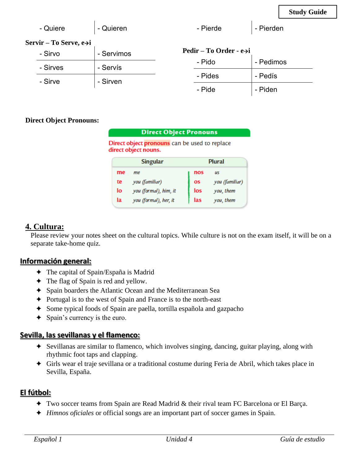| - Quiere               | - Quieren  | - Pierde                            | - Pierden |
|------------------------|------------|-------------------------------------|-----------|
| Servir – To Serve, e→i |            |                                     |           |
| - Sirvo                | - Servimos | Pedir – To Order - $e\rightarrow i$ |           |
| - Sirves               | - Servís   | - Pido                              | - Pedimos |
|                        |            | - Pides                             | - Pedís   |

- Sirve  $\vert$  - Sirven

#### **Direct Object Pronouns:**

|                                  | <b>Direct Object Pronouns</b>                                         |     |                |
|----------------------------------|-----------------------------------------------------------------------|-----|----------------|
|                                  | Direct object pronouns can be used to replace<br>direct object nouns. |     |                |
| <b>Singular</b><br><b>Plural</b> |                                                                       |     |                |
| me                               | me.                                                                   | nos | <b>US</b>      |
| te                               | you (familiar)                                                        | OS  | you (familiar) |
| lo                               | you (formal), him, it                                                 | los | you, them      |
| la                               | you (formal), her, it                                                 | las | you, them      |

- Pide  $\vert$  - Piden

# **4. Cultura:**

Please review your notes sheet on the cultural topics. While culture is not on the exam itself, it will be on a separate take-home quiz.

## **Información general:**

- ✦ The capital of Spain/España is Madrid
- ✦ The flag of Spain is red and yellow.
- ✦ Spain boarders the Atlantic Ocean and the Mediterranean Sea
- ✦ Portugal is to the west of Spain and France is to the north-east
- ✦ Some typical foods of Spain are paella, tortilla española and gazpacho
- ✦ Spain's currency is the euro.

# **Sevilla, las sevillanas y el flamenco:**

- ✦ Sevillanas are similar to flamenco, which involves singing, dancing, guitar playing, along with rhythmic foot taps and clapping.
- ✦ Girls wear el traje sevillana or a traditional costume during Feria de Abril, which takes place in Sevilla, España.

# **El fútbol:**

- ✦ Two soccer teams from Spain are Read Madrid & their rival team FC Barcelona or El Barça.
- ✦ *Himnos oficiales* or official songs are an important part of soccer games in Spain.